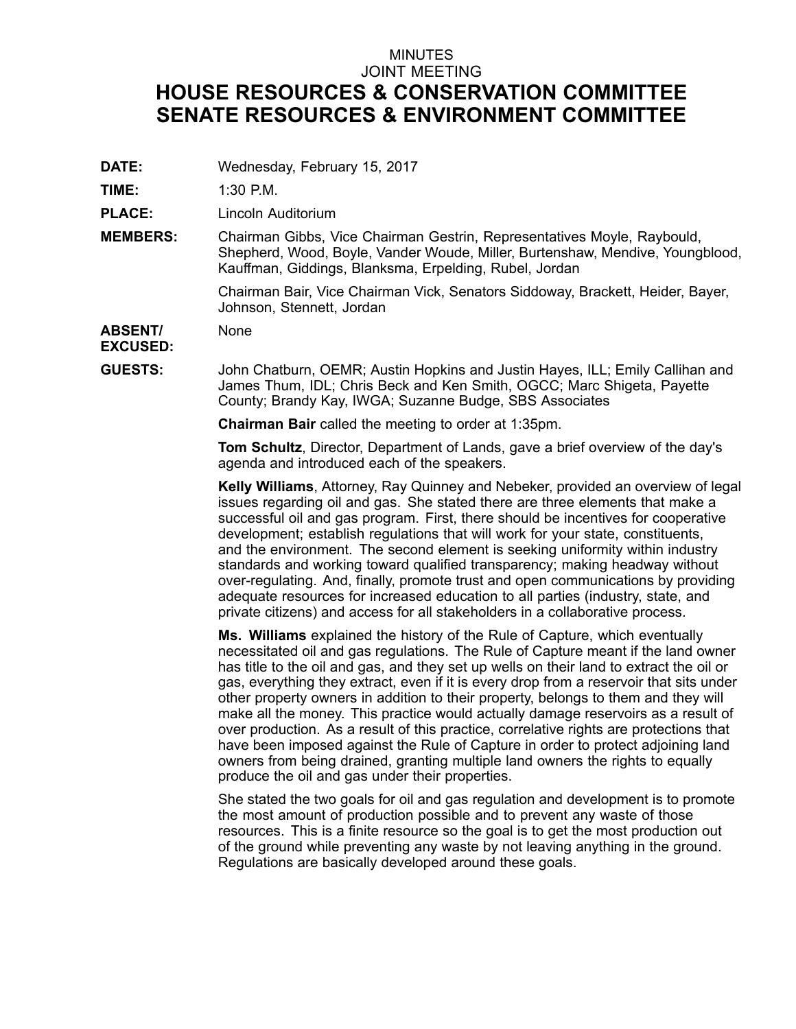## MINUTES JOINT MEETING **HOUSE RESOURCES & CONSERVATION COMMITTEE SENATE RESOURCES & ENVIRONMENT COMMITTEE**

**DATE:** Wednesday, February 15, 2017

**TIME:** 1:30 P.M.

**PLACE:** Lincoln Auditorium

**MEMBERS:** Chairman Gibbs, Vice Chairman Gestrin, Representatives Moyle, Raybould, Shepherd, Wood, Boyle, Vander Woude, Miller, Burtenshaw, Mendive, Youngblood, Kauffman, Giddings, Blanksma, Erpelding, Rubel, Jordan

> Chairman Bair, Vice Chairman Vick, Senators Siddoway, Brackett, Heider, Bayer, Johnson, Stennett, Jordan

**ABSENT/** None

**EXCUSED:**

**GUESTS:** John Chatburn, OEMR; Austin Hopkins and Justin Hayes, ILL; Emily Callihan and James Thum, IDL; Chris Beck and Ken Smith, OGCC; Marc Shigeta, Payette County; Brandy Kay, IWGA; Suzanne Budge, SBS Associates

**Chairman Bair** called the meeting to order at 1:35pm.

**Tom Schultz**, Director, Department of Lands, gave <sup>a</sup> brief overview of the day's agenda and introduced each of the speakers.

**Kelly Williams**, Attorney, Ray Quinney and Nebeker, provided an overview of legal issues regarding oil and gas. She stated there are three elements that make <sup>a</sup> successful oil and gas program. First, there should be incentives for cooperative development; establish regulations that will work for your state, constituents, and the environment. The second element is seeking uniformity within industry standards and working toward qualified transparency; making headway without over-regulating. And, finally, promote trust and open communications by providing adequate resources for increased education to all parties (industry, state, and private citizens) and access for all stakeholders in <sup>a</sup> collaborative process.

**Ms. Williams** explained the history of the Rule of Capture, which eventually necessitated oil and gas regulations. The Rule of Capture meant if the land owner has title to the oil and gas, and they set up wells on their land to extract the oil or gas, everything they extract, even if it is every drop from <sup>a</sup> reservoir that sits under other property owners in addition to their property, belongs to them and they will make all the money. This practice would actually damage reservoirs as <sup>a</sup> result of over production. As <sup>a</sup> result of this practice, correlative rights are protections that have been imposed against the Rule of Capture in order to protect adjoining land owners from being drained, granting multiple land owners the rights to equally produce the oil and gas under their properties.

She stated the two goals for oil and gas regulation and development is to promote the most amount of production possible and to prevent any waste of those resources. This is <sup>a</sup> finite resource so the goal is to get the most production out of the ground while preventing any waste by not leaving anything in the ground. Regulations are basically developed around these goals.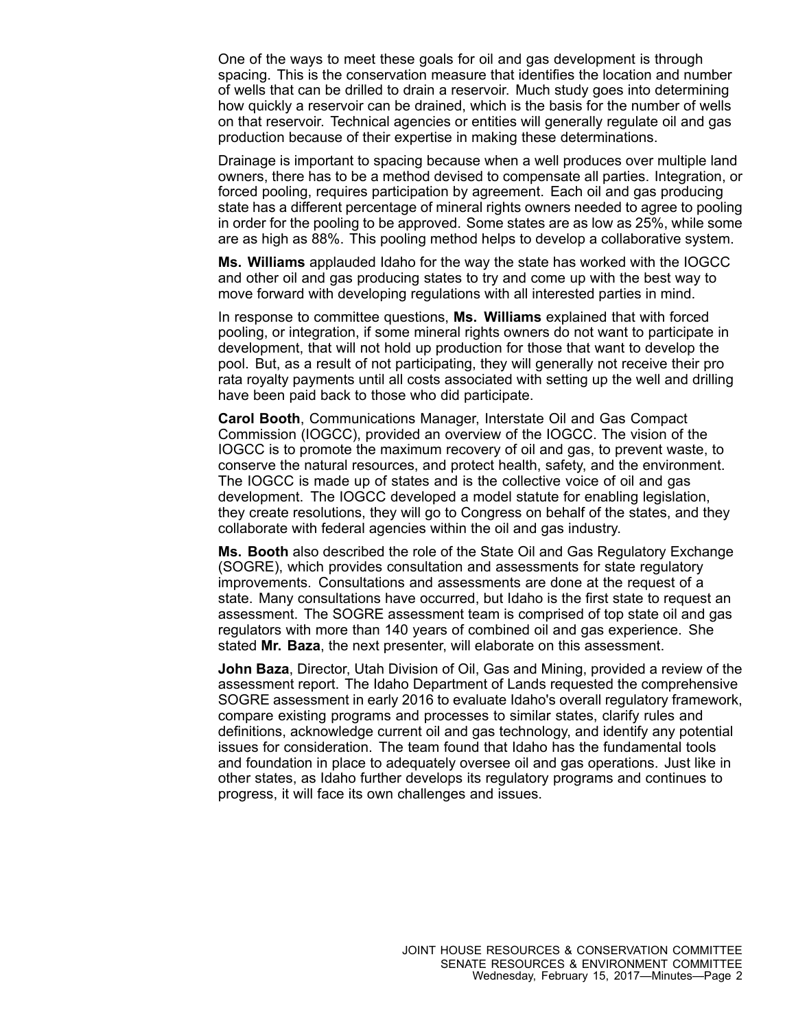One of the ways to meet these goals for oil and gas development is through spacing. This is the conservation measure that identifies the location and number of wells that can be drilled to drain <sup>a</sup> reservoir. Much study goes into determining how quickly <sup>a</sup> reservoir can be drained, which is the basis for the number of wells on that reservoir. Technical agencies or entities will generally regulate oil and gas production because of their expertise in making these determinations.

Drainage is important to spacing because when <sup>a</sup> well produces over multiple land owners, there has to be <sup>a</sup> method devised to compensate all parties. Integration, or forced pooling, requires participation by agreement. Each oil and gas producing state has <sup>a</sup> different percentage of mineral rights owners needed to agree to pooling in order for the pooling to be approved. Some states are as low as 25%, while some are as high as 88%. This pooling method helps to develop <sup>a</sup> collaborative system.

**Ms. Williams** applauded Idaho for the way the state has worked with the IOGCC and other oil and gas producing states to try and come up with the best way to move forward with developing regulations with all interested parties in mind.

In response to committee questions, **Ms. Williams** explained that with forced pooling, or integration, if some mineral rights owners do not want to participate in development, that will not hold up production for those that want to develop the pool. But, as <sup>a</sup> result of not participating, they will generally not receive their pro rata royalty payments until all costs associated with setting up the well and drilling have been paid back to those who did participate.

**Carol Booth**, Communications Manager, Interstate Oil and Gas Compact Commission (IOGCC), provided an overview of the IOGCC. The vision of the IOGCC is to promote the maximum recovery of oil and gas, to prevent waste, to conserve the natural resources, and protect health, safety, and the environment. The IOGCC is made up of states and is the collective voice of oil and gas development. The IOGCC developed <sup>a</sup> model statute for enabling legislation, they create resolutions, they will go to Congress on behalf of the states, and they collaborate with federal agencies within the oil and gas industry.

**Ms. Booth** also described the role of the State Oil and Gas Regulatory Exchange (SOGRE), which provides consultation and assessments for state regulatory improvements. Consultations and assessments are done at the request of <sup>a</sup> state. Many consultations have occurred, but Idaho is the first state to request an assessment. The SOGRE assessment team is comprised of top state oil and gas regulators with more than 140 years of combined oil and gas experience. She stated **Mr. Baza**, the next presenter, will elaborate on this assessment.

**John Baza**, Director, Utah Division of Oil, Gas and Mining, provided <sup>a</sup> review of the assessment report. The Idaho Department of Lands requested the comprehensive SOGRE assessment in early 2016 to evaluate Idaho's overall regulatory framework, compare existing programs and processes to similar states, clarify rules and definitions, acknowledge current oil and gas technology, and identify any potential issues for consideration. The team found that Idaho has the fundamental tools and foundation in place to adequately oversee oil and gas operations. Just like in other states, as Idaho further develops its regulatory programs and continues to progress, it will face its own challenges and issues.